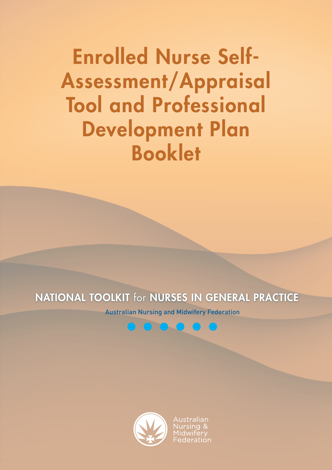## NATIONAL TOOLKIT for NURSES IN GENERAL PRACTICE

Australian Nursing and Midwifery Federation



<u>ustralian</u>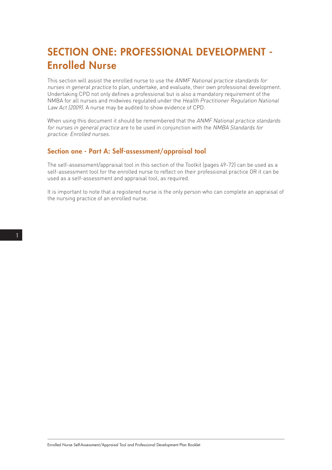# SECTION ONE: PROFESSIONAL DEVELOPMENT - Enrolled Nurse

This section will assist the enrolled nurse to use the ANMF National practice standards for nurses in general practice to plan, undertake, and evaluate, their own professional development. Undertaking CPD not only defines a professional but is also a mandatory requirement of the NMBA for all nurses and midwives regulated under the Health Practitioner Regulation National Law Act (2009). A nurse may be audited to show evidence of CPD.

When using this document it should be remembered that the ANMF National practice standards for nurses in general practice are to be used in conjunction with the NMBA Standards for practice: Enrolled nurses.

### Section one - Part A: Self-assessment/appraisal tool

The self-assessment/appraisal tool in this section of the Toolkit (pages 49-72) can be used as a self-assessment tool for the enrolled nurse to reflect on their professional practice OR it can be used as a self-assessment and appraisal tool, as required.

It is important to note that a registered nurse is the only person who can complete an appraisal of the nursing practice of an enrolled nurse.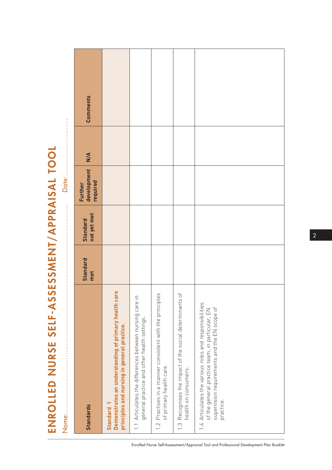| NURSE SELF-ASSESSMENT/APPRAISAL TOOL |  |
|--------------------------------------|--|
| —<br>01                              |  |

Name:……………………………………………………………………………… Date:…………………….

|                                                                                                                                                                        |                 |                                |                                    | <b>Dale : </b>                  |                 |
|------------------------------------------------------------------------------------------------------------------------------------------------------------------------|-----------------|--------------------------------|------------------------------------|---------------------------------|-----------------|
| Standards                                                                                                                                                              | Standard<br>met | not yet met<br><b>Standard</b> | development<br>required<br>Further | $\frac{\mathsf{N}}{\mathsf{N}}$ | <b>Comments</b> |
| Demonstrates an understanding of primary health care<br>principles and nursing in general practice.<br>Standard                                                        |                 |                                |                                    |                                 |                 |
| $\subseteq$<br>1.1 Articulates the differences between nursing care<br>general practice and other health settings.                                                     |                 |                                |                                    |                                 |                 |
| 1.2 Practises in a manner consistent with the principles<br>of primary health care.                                                                                    |                 |                                |                                    |                                 |                 |
| $\overline{\circ}$<br>1.3 Recognises the impact of the social determinants<br>health on consumers.                                                                     |                 |                                |                                    |                                 |                 |
| 1.4 Articulates the various roles and responsibilities<br>supervision requirements and the EN scope of<br>of the general practice team, in particular, EN<br>practice. |                 |                                |                                    |                                 |                 |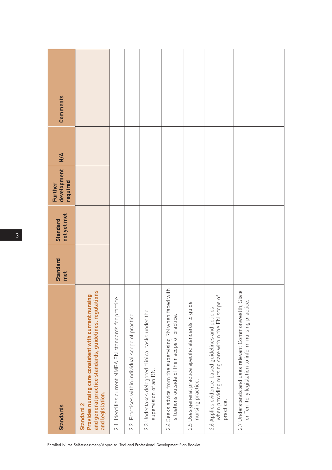| <b>Standards</b>                                                                                                                                              | <b>Standard</b><br>met | not yet met<br><b>Standard</b> | development<br>required<br>Further | $\frac{4}{5}$ | Comments |
|---------------------------------------------------------------------------------------------------------------------------------------------------------------|------------------------|--------------------------------|------------------------------------|---------------|----------|
| and general practice standards, guidelines, regulations<br>Provides nursing care consistent with current nursing<br>and legislation.<br>Standard <sub>2</sub> |                        |                                |                                    |               |          |
| 2.1 Identifies current NMBA EN standards for practice.                                                                                                        |                        |                                |                                    |               |          |
| 2.2 Practises within individual scope of practice.                                                                                                            |                        |                                |                                    |               |          |
| 2.3 Undertakes delegated clinical tasks under the<br>supervision of an RN.                                                                                    |                        |                                |                                    |               |          |
| with<br>2.4 Seeks advice from the supervising RN when faced<br>situations outside of their scope of practice.                                                 |                        |                                |                                    |               |          |
| 2.5 Uses general practice specific standards to guide<br>nursing practice.                                                                                    |                        |                                |                                    |               |          |
| $\overline{\circ}$<br>when providing nursing care within the EN scope<br>2.6 Applies evidence-based guidelines and policies<br>practice.                      |                        |                                |                                    |               |          |
| 2.7 Understands and uses relevant Commonwealth, State<br>or Territory legislation to inform nursing practice.                                                 |                        |                                |                                    |               |          |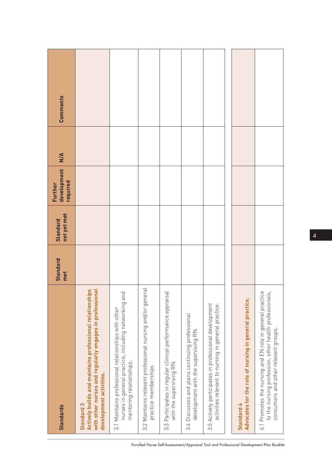| <b>Standards</b>                                                                                                                                             | <b>Standard</b><br>met | not yet met<br><b>Standard</b> | development<br>required<br>Further | $\frac{4}{5}$ | Comments |
|--------------------------------------------------------------------------------------------------------------------------------------------------------------|------------------------|--------------------------------|------------------------------------|---------------|----------|
| Actively builds and maintains professional relationships<br>with other nurses and regularly engages in professional<br>development activities.<br>Standard 3 |                        |                                |                                    |               |          |
| nurses in general practice, including networking and<br>3.1 Maintains professional relationships with other<br>mentoring relationships.                      |                        |                                |                                    |               |          |
| 3.2 Maintains relevant professional nursing and/or general<br>practice memberships                                                                           |                        |                                |                                    |               |          |
| $\overline{a}$<br>3.3 Participates in regular clinical performance apprai<br>with the supervising RN.                                                        |                        |                                |                                    |               |          |
| 3.4 Discusses and plans continuing professional<br>development with the supervising RN.                                                                      |                        |                                |                                    |               |          |
| 3.5 Actively participates in professional development<br>activities relevant to nursing in general practice.                                                 |                        |                                |                                    |               |          |
|                                                                                                                                                              |                        |                                |                                    |               |          |
| Advocates for the role of nursing in general practice.<br>Standard 4                                                                                         |                        |                                |                                    |               |          |
| 4.1 Promotes the nursing and EN role in general practice<br>to the nursing profession, other health professionals,<br>consumers and other relevant groups.   |                        |                                |                                    |               |          |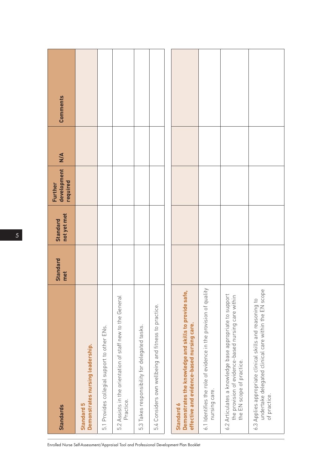| <b>Standards</b>                                                                                                                            | <b>Standard</b><br>met | not yet met<br><b>Standard</b> | development<br>required<br><b>Further</b> | M | Comments |
|---------------------------------------------------------------------------------------------------------------------------------------------|------------------------|--------------------------------|-------------------------------------------|---|----------|
| Demonstrates nursing leadership.<br>Standard 5                                                                                              |                        |                                |                                           |   |          |
| 5.1 Provides collegial support to other ENs.                                                                                                |                        |                                |                                           |   |          |
| 5.2 Assists in the orientation of staff new to the General<br>Practice.                                                                     |                        |                                |                                           |   |          |
| 5.3 Takes responsibility for delegated tasks.                                                                                               |                        |                                |                                           |   |          |
| 5.4 Considers own wellbeing and fitness to practice.                                                                                        |                        |                                |                                           |   |          |
|                                                                                                                                             |                        |                                |                                           |   |          |
| Demonstrates the knowledge and skills to provide safe,<br>effective and evidence-based nursing care.<br>Standard 6                          |                        |                                |                                           |   |          |
| 6.1 Identifies the role of evidence in the provision of quality<br>nursing care.                                                            |                        |                                |                                           |   |          |
| 6.2 Articulates a knowledge base appropriate to support<br>the provision of evidence-based nursing care within<br>the EN scope of practice. |                        |                                |                                           |   |          |
| undertake delegated clinical care within the EN scope<br>6.3 Applies appropriate clinical skills and reasoning to<br>of practice.           |                        |                                |                                           |   |          |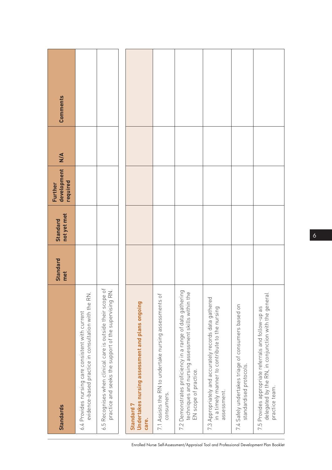| <b>Standards</b>                                                                                                                                 | <b>Standard</b><br>met | not yet met<br><b>Standard</b> | development<br>required<br>Further | $M\cong$ | Comments |
|--------------------------------------------------------------------------------------------------------------------------------------------------|------------------------|--------------------------------|------------------------------------|----------|----------|
| evidence-based practice in consultation with the RN.<br>6.4 Provides nursing care consistent with current                                        |                        |                                |                                    |          |          |
| 6.5 Recognises when clinical care is outside their scope of<br>$\mathop \Xi \limits_\infty$<br>practice and seeks the support of the supervising |                        |                                |                                    |          |          |
| Undertakes nursing assessment and plans ongoing<br>Standard 7<br>care.                                                                           |                        |                                |                                    |          |          |
| $\overline{C}$<br>7.1 Assists the RN to undertake nursing assessments<br>consumers.                                                              |                        |                                |                                    |          |          |
| 7.2 Demonstrates proficiency in a range of data gathering<br>techniques and nursing assessment skills within the<br>EN scope of practice.        |                        |                                |                                    |          |          |
| 7.3 Appropriately and accurately records data gathered<br>in a timely manner to contribute to the nursing<br>assessment.                         |                        |                                |                                    |          |          |
| 7.4 Safely undertakes triage of consumers based on<br>standardised protocols.                                                                    |                        |                                |                                    |          |          |
| delegated by the RN, in conjunction with the general<br>7.5 Provides appropriate referrals and follow-up as<br>practice team.                    |                        |                                |                                    |          |          |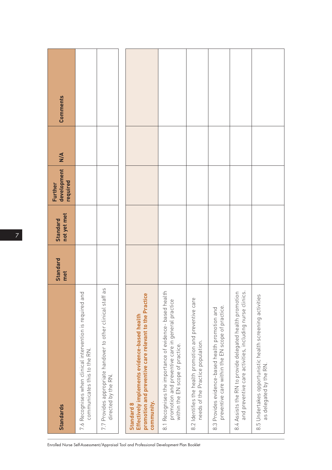| <b>Standards</b>                                                                                                                                 | Standard<br>met | not yet met<br><b>Standard</b> | development<br>required<br>Further | $\frac{4}{5}$ | Comments |
|--------------------------------------------------------------------------------------------------------------------------------------------------|-----------------|--------------------------------|------------------------------------|---------------|----------|
| pd<br>7.6 Recognises when clinical intervention is required are<br>communicates this to the RN.                                                  |                 |                                |                                    |               |          |
| 7.7 Provides appropriate handover to other clinical staff as<br>directed by the RN                                                               |                 |                                |                                    |               |          |
| promotion and preventive care relevant to the Practice<br>Effectively implements evidence-based health<br>community.<br>Standard 8               |                 |                                |                                    |               |          |
| 8.1 Recognises the importance of evidence- based health<br>promotion and preventive care in general practice<br>within the EN scope of practice. |                 |                                |                                    |               |          |
| 8.2 Identifies the health promotion and preventive care<br>needs of the Practice population.                                                     |                 |                                |                                    |               |          |
| preventive care within the EN scope of practice<br>8.3 Provides evidence-based health promotion and                                              |                 |                                |                                    |               |          |
| and preventive care activities, including nurse clinics.<br>8.4 Assists the RN to provide delegated health promotion                             |                 |                                |                                    |               |          |
| 8.5 Undertakes opportunistic health screening activities<br>as delegated by the RN.                                                              |                 |                                |                                    |               |          |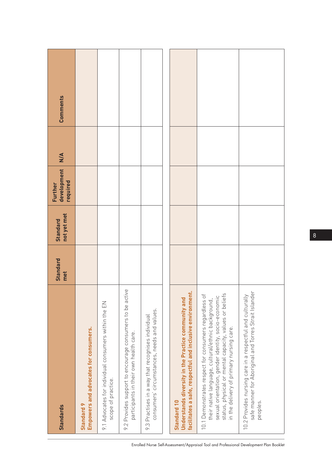| <b>Standards</b>                                                                                                                                                                                                                                                                                 | Standard<br>met | not yet met<br><b>Standard</b> | development<br>required<br>Further | $\frac{4}{5}$ | Comments |
|--------------------------------------------------------------------------------------------------------------------------------------------------------------------------------------------------------------------------------------------------------------------------------------------------|-----------------|--------------------------------|------------------------------------|---------------|----------|
| Empowers and advocates for consumers.<br>Standard 9                                                                                                                                                                                                                                              |                 |                                |                                    |               |          |
| 9.1 Advocates for individual consumers within the EN<br>scope of practice.                                                                                                                                                                                                                       |                 |                                |                                    |               |          |
| 9.2 Provides support to encourage consumers to be active<br>participants in their own health care.                                                                                                                                                                                               |                 |                                |                                    |               |          |
| consumers' circumstances, needs and values.<br>9.3 Practises in a way that recognises individual                                                                                                                                                                                                 |                 |                                |                                    |               |          |
|                                                                                                                                                                                                                                                                                                  |                 |                                |                                    |               |          |
| facilitates a safe, respectful and inclusive environment.<br>Understands diversity in the Practice community and<br>Standard 10                                                                                                                                                                  |                 |                                |                                    |               |          |
| sexual orientation, gender identity, socio-economic<br>status, physical or mental capacity, values or beliefs<br>$\overline{\mathrm{o}}$<br>their native language, cultural/ethnic background,<br>10.1 Demonstrates respect for consumers regardless<br>in the delivery of primary nursing care. |                 |                                |                                    |               |          |
| 10.2 Provides nursing care in a respectful and culturally<br>safe manner for Aboriginal and Torres Strait Islander<br>peoples.                                                                                                                                                                   |                 |                                |                                    |               |          |

8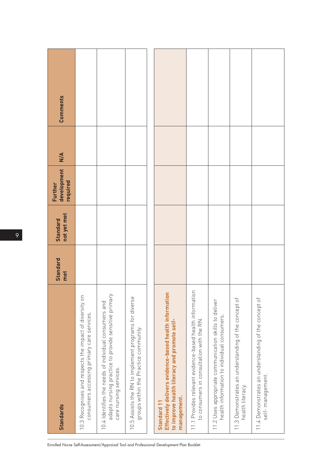| <b>Standards</b>                                                                                                                        | <b>Standard</b><br>met | not yet met<br><b>Standard</b> | development<br>required<br>Further | $\frac{4}{5}$ | Comments |
|-----------------------------------------------------------------------------------------------------------------------------------------|------------------------|--------------------------------|------------------------------------|---------------|----------|
| 10.3 Recognises and respects the impact of diversity on<br>consumers accessing primary care services.                                   |                        |                                |                                    |               |          |
| adapts nursing practice to provide sensitive primary<br>10.4 Identifies the needs of individual consumers and<br>care nursing services. |                        |                                |                                    |               |          |
| 10.5 Assists the RN to implement programs for diverse<br>groups within the Practice community.                                          |                        |                                |                                    |               |          |
|                                                                                                                                         |                        |                                |                                    |               |          |
| Effectively delivers evidence-based health information<br>to improve health literacy and promote self-<br>management.<br>Standard 11    |                        |                                |                                    |               |          |
| 11.1 Provides relevant evidence-based health information<br>to consumers in consultation with the RN.                                   |                        |                                |                                    |               |          |
| 11.2 Uses appropriate communication skills to deliver<br>health information to individual consumers.                                    |                        |                                |                                    |               |          |
| 11.3 Demonstrates an understanding of the concept of<br>health literacy.                                                                |                        |                                |                                    |               |          |
| 11.4 Demonstrates an understanding of the concept of<br>self-management.                                                                |                        |                                |                                    |               |          |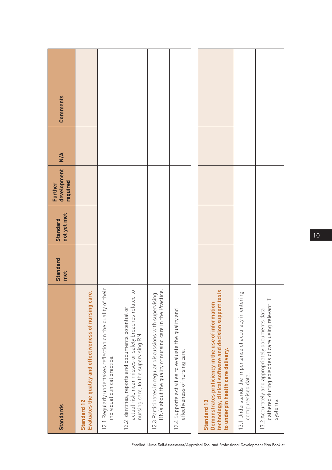| <b>Standards</b>                                                                                                                                                          | Standard<br>met | not yet met<br><b>Standard</b> | development<br>required<br>Further | $\frac{4}{5}$ | Comments |
|---------------------------------------------------------------------------------------------------------------------------------------------------------------------------|-----------------|--------------------------------|------------------------------------|---------------|----------|
| Evaluates the quality and effectiveness of nursing care.<br>Standard 12                                                                                                   |                 |                                |                                    |               |          |
| 12.1 Regularly undertakes reflection on the quality of their<br>individual clinical practice.                                                                             |                 |                                |                                    |               |          |
| actual risk, near misses or safety breaches related to<br>12.2 Identifies, reports and documents potential or<br>nursing care, to the supervising RN.                     |                 |                                |                                    |               |          |
| 12.3 Participates in regular discussions with supervising<br>RN/s about the quality of nursing care in the Practice                                                       |                 |                                |                                    |               |          |
| 12.4 Supports activities to evaluate the quality and<br>effectiveness of nursing care.                                                                                    |                 |                                |                                    |               |          |
|                                                                                                                                                                           |                 |                                |                                    |               |          |
| technology, clinical software and decision support tools<br>Demonstrates proficiency in the use of information<br>to underpin health care delivery.<br><b>Standard 13</b> |                 |                                |                                    |               |          |
| 13.1 Understands the importance of accuracy in entering<br>computerised data.                                                                                             |                 |                                |                                    |               |          |
| gathered during episodes of care using relevant IT<br>13.2 Accurately and appropriately documents data<br>systems.                                                        |                 |                                |                                    |               |          |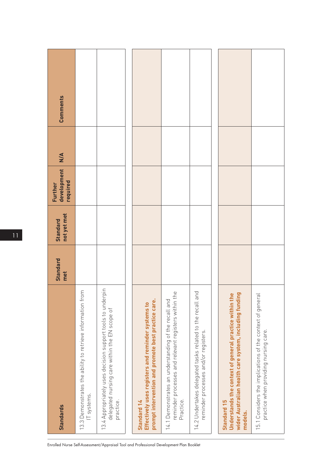| <b>Standards</b>                                                                                                                           | <b>Standard</b><br>met | not yet met<br><b>Standard</b> | development<br>required<br>Further | $\frac{4}{5}$ | Comments |
|--------------------------------------------------------------------------------------------------------------------------------------------|------------------------|--------------------------------|------------------------------------|---------------|----------|
| 13.3 Demonstrates the ability to retrieve information from<br>IT systems.                                                                  |                        |                                |                                    |               |          |
| 13.4 Appropriately uses decision support tools to underpin<br>delegated nursing care within the EN scope of<br>practice.                   |                        |                                |                                    |               |          |
|                                                                                                                                            |                        |                                |                                    |               |          |
| prompt intervention and promote best practice care.<br>Effectively uses registers and reminder systems to<br><b>Standard 14</b>            |                        |                                |                                    |               |          |
| the<br>14.1 Demonstrates an understanding of the recall and<br>reminder processes and relevant registers within<br>Practice                |                        |                                |                                    |               |          |
| 14.2 Undertakes delegated tasks related to the recall and<br>reminder processes and/or registers.                                          |                        |                                |                                    |               |          |
|                                                                                                                                            |                        |                                |                                    |               |          |
| wider Australian health care system, including funding<br>Understands the context of general practice within the<br>Standard 15<br>models. |                        |                                |                                    |               |          |
| 15.1 Considers the implications of the context of general<br>practice when providing nursing care.                                         |                        |                                |                                    |               |          |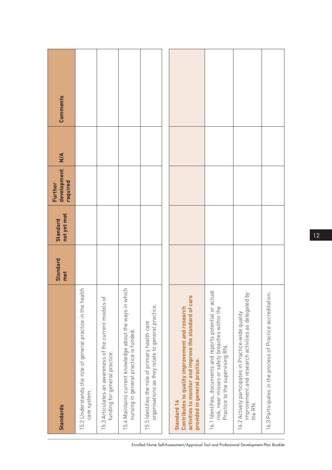| <b>Standards</b>                                                                                                                                          | <b>Standard</b><br>met | not yet met<br><b>Standard</b> | development<br>required<br>Further | M/A | <b>Comments</b> |
|-----------------------------------------------------------------------------------------------------------------------------------------------------------|------------------------|--------------------------------|------------------------------------|-----|-----------------|
| 15.2 Understands the role of general practice in the health<br>care system.                                                                               |                        |                                |                                    |     |                 |
| 15.3 Articulates an awareness of the current models of<br>funding for general practice.                                                                   |                        |                                |                                    |     |                 |
| 15.4 Maintains current knowledge about the ways in which<br>nursing in general practice is funded.                                                        |                        |                                |                                    |     |                 |
| organisations as they relate to general practice.<br>15.5 Identifies the role of primary health care                                                      |                        |                                |                                    |     |                 |
|                                                                                                                                                           |                        |                                |                                    |     |                 |
| activities to monitor and improve the standard of care<br>Contributes to quality improvement and research<br>provided in general practice.<br>Standard 16 |                        |                                |                                    |     |                 |
| 16.1 Identifies, documents and reports potential or actual<br>risk, near misses or safety breaches within the<br>Practice to the supervising RN.          |                        |                                |                                    |     |                 |
| $\gtrsim$<br>improvement and research activities as delegated<br>16.2 Actively participates in Practice-wide quality<br>the RN.                           |                        |                                |                                    |     |                 |
| 16.3 Participates in the process of Practice accreditation.                                                                                               |                        |                                |                                    |     |                 |

12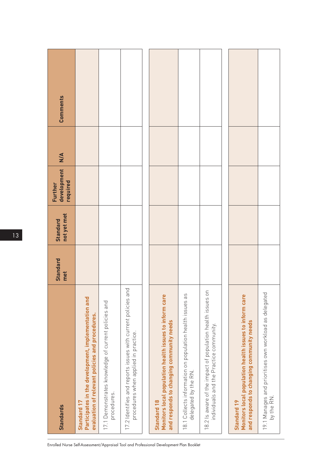| <b>Standards</b>                                                                                                      | Standard<br>met | not yet met<br><b>Standard</b> | development<br>required<br>Further | $\frac{4}{5}$ | Comments |
|-----------------------------------------------------------------------------------------------------------------------|-----------------|--------------------------------|------------------------------------|---------------|----------|
| Participates in the development, implementation and<br>evaluation of relevant policies and procedures.<br>Standard 17 |                 |                                |                                    |               |          |
| 17.1 Demonstrates knowledge of current policies and<br>procedures.                                                    |                 |                                |                                    |               |          |
| and<br>17.2 Identifies and reports issues with current policies<br>procedures when applied in practice.               |                 |                                |                                    |               |          |
|                                                                                                                       |                 |                                |                                    |               |          |
| Monitors local population health issues to inform care<br>and responds to changing community needs<br>Standard 18     |                 |                                |                                    |               |          |
| 9S<br>18.1 Collects information on population health issues<br>delegated by the RN.                                   |                 |                                |                                    |               |          |
| S<br>18.2 Is aware of the impact of population health issues<br>individuals and the Practice community.               |                 |                                |                                    |               |          |
|                                                                                                                       |                 |                                |                                    |               |          |
| Monitors local population health issues to inform care<br>and responds to changing community needs<br>Standard 19     |                 |                                |                                    |               |          |
| pə.<br>19.1 Manages and prioritises own workload as delegat<br>by the RN.                                             |                 |                                |                                    |               |          |

13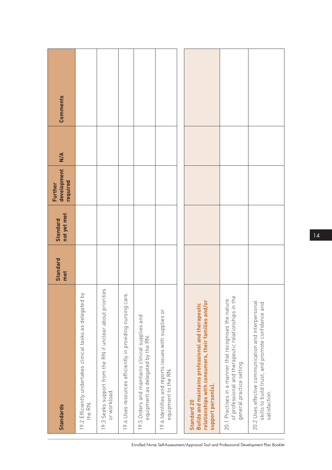| <b>Standards</b>                                                                                                                                      | <b>Standard</b><br>met | not yet met<br><b>Standard</b> | development<br>required<br>Further | M/A | Comments |
|-------------------------------------------------------------------------------------------------------------------------------------------------------|------------------------|--------------------------------|------------------------------------|-----|----------|
| $\gtrsim$<br>19.2 Efficiently undertakes clinical tasks as delegated<br>the RN.                                                                       |                        |                                |                                    |     |          |
| 19.3 Seeks support from the RN if unclear about priorities<br>or workload.                                                                            |                        |                                |                                    |     |          |
| 19.4 Uses resources efficiently in providing nursing care.                                                                                            |                        |                                |                                    |     |          |
| 19.5 Orders and maintains clinical supplies and<br>equipment as delegated by the RN                                                                   |                        |                                |                                    |     |          |
| 19.6 Identifies and reports issues with supplies or<br>equipment to the RN.                                                                           |                        |                                |                                    |     |          |
|                                                                                                                                                       |                        |                                |                                    |     |          |
| relationships with consumers, their families and/or<br>Builds and maintains professional and therapeutic<br>support person(s).<br>Standard 20         |                        |                                |                                    |     |          |
| $\omega$<br>20.1 Practises in a manner that recognises the nature<br>of professional and therapeutic relationships in th<br>general practice setting. |                        |                                |                                    |     |          |
| 20.2 Uses effective communication and interpersonal<br>skills to build trust, and promote confidence and<br>satisfaction.                             |                        |                                |                                    |     |          |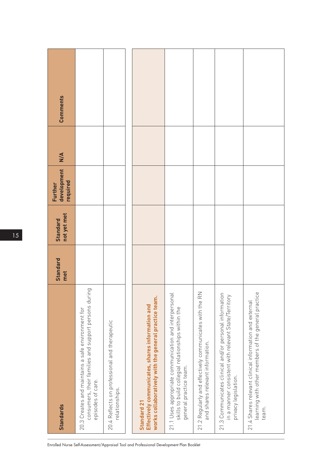| <b>Standards</b>                                                                                                                                      | <b>Standard</b><br>met | not yet met<br><b>Standard</b> | development<br>required<br>Further | $\frac{4}{5}$ | Comments |
|-------------------------------------------------------------------------------------------------------------------------------------------------------|------------------------|--------------------------------|------------------------------------|---------------|----------|
| consumers, their families and support persons during<br>20.3 Creates and maintains a safe environment for<br>episodes of care.                        |                        |                                |                                    |               |          |
| 20.4 Reflects on professional and therapeutic<br>relationships.                                                                                       |                        |                                |                                    |               |          |
| works collaboratively with the general practice team<br>Effectively communicates, shares information and<br>Standard 21                               |                        |                                |                                    |               |          |
| $\overline{a}$<br>21.1 Uses appropriate communication and interperson<br>skills to build collegial relationships within the<br>general practice team. |                        |                                |                                    |               |          |
| $\frac{2}{\alpha}$<br>21.2 Regularly and effectively communicates with the I<br>and shares relevant information.                                      |                        |                                |                                    |               |          |
| 21.3 Communicates clinical and/or personal information<br>in a manner consistent with relevant State/Territory<br>privacy legislation.                |                        |                                |                                    |               |          |
| learning with other members of the general practice<br>21.4 Shares relevant clinical information and external<br>team.                                |                        |                                |                                    |               |          |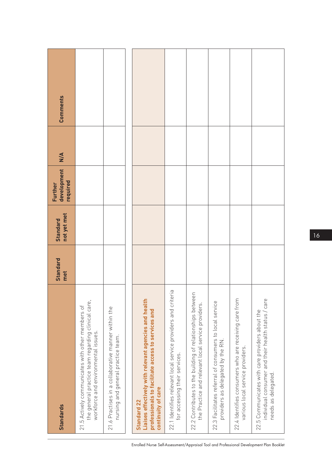| <b>Standards</b>                                                                                                                                 | <b>Standard</b><br>met | not yet met<br><b>Standard</b> | development<br>required<br>Further | $\frac{4}{5}$ | Comments |
|--------------------------------------------------------------------------------------------------------------------------------------------------|------------------------|--------------------------------|------------------------------------|---------------|----------|
| the general practice team regarding clinical care,<br>21.5 Actively communicates with other members of<br>workforce and environmental issues.    |                        |                                |                                    |               |          |
| 21.6 Practises in a collaborative manner within the<br>nursing and general practice team.                                                        |                        |                                |                                    |               |          |
| Liaises effectively with relevant agencies and health<br>professionals to facilitate access to services and<br>continuity of care<br>Standard 22 |                        |                                |                                    |               |          |
| 22.1 Identifies relevant local service providers and criteria<br>for accessing their services.                                                   |                        |                                |                                    |               |          |
| 22.2 Contributes to the building of relationships between<br>the Practice and relevant local service providers.                                  |                        |                                |                                    |               |          |
| 22.3 Facilitates referral of consumers to local service<br>providers as delegated by the RN.                                                     |                        |                                |                                    |               |          |
| 22.4 Identifies consumers who are receiving care from<br>various local service providers.                                                        |                        |                                |                                    |               |          |
| individual consumer and their health status / care<br>22.5 Communicates with care providers about the<br>needs as delegated.                     |                        |                                |                                    |               |          |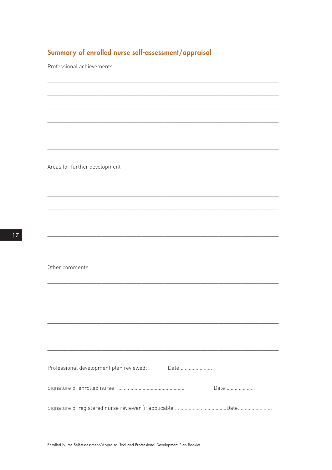### Summary of enrolled nurse self-assessment/appraisal

Professional achievements

Areas for further development

Other comments

| Professional development plan reviewed:<br>Date: |
|--------------------------------------------------|
| $\Box$ at e                                      |
|                                                  |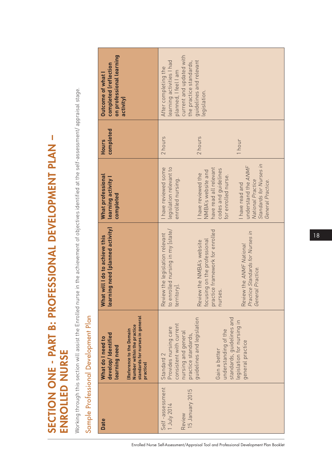# SECTION ONE - PART B: PROFESSIONAL DEVELOPMENT PLAN – SECTION ONE - PART B: PROFESSIONAL DEVELOPMENT PLAN -ENROLLED NURSE ENROLLED NURSE

Working through this section will assist the Enrolled nurse in the achievement of objectives identified at the self-assessment/ appraisal stage. Working through this section will assist the Enrolled nurse in the achievement of objectives identified at the self-assessment/ appraisal stage.

# Sample Professional Development Plan Sample Professional Development Plan

| on professional learning<br>completed (reflection<br>Outcome of what<br>activity)                                                                                                                                                                                                           | current and updated with<br>guidelines and relevant<br>learning activities I had<br>the practice standards,<br>After completing the<br>planned, I feel I am<br>legislation.                                                                                                                               |
|---------------------------------------------------------------------------------------------------------------------------------------------------------------------------------------------------------------------------------------------------------------------------------------------|-----------------------------------------------------------------------------------------------------------------------------------------------------------------------------------------------------------------------------------------------------------------------------------------------------------|
| completed<br><b>Hours</b>                                                                                                                                                                                                                                                                   | 2 hours<br>2 hours<br>1 hour                                                                                                                                                                                                                                                                              |
| What professional<br>learning activity<br>completed                                                                                                                                                                                                                                         | Standards for Nurses in<br>understand the ANMF<br>legislation relevant to<br>have read all relevant<br>I have reviewed some<br>codes and quidelines<br>NMBA's website and<br>I have reviewed the<br>for enrolled nurse.<br>enrolled nursing.<br>National Practice<br>General Practice.<br>I have read and |
| learning need (planned activity)<br>What will I do to achieve this                                                                                                                                                                                                                          | enrolled nursing in my [state/<br>practice framework for enrolled<br>Practice Standards for Nurses in<br>Review the legislation relevant<br>focusing on the professional<br>Review the NMBA's website<br>Review the ANMF National<br>General Practice.<br>territory].<br>nurses.<br>to $\epsilon$         |
| <u> המונח המונח המונח המונח המונח המונח המונח המונח המונח המונח המונח המונח המונח המונח המונח המונח המונח המונח ה</u><br>standards for nurses in general<br>Number within the practice<br>(Reference to the Domain<br>develop/Identified<br>What do I need to<br>learning need<br>practice) | standards, guidelines and<br>guidelines and legislation<br>legislation for nursing in<br>consistent with current<br>Provides nursing care<br>understanding of the<br>nursing and general<br>practice standards,<br>general practice<br>Gain a better<br>Standard 2                                        |
| <b>Date</b>                                                                                                                                                                                                                                                                                 | Self-assessment<br>15 January 2015<br>1 July 2014<br>Review                                                                                                                                                                                                                                               |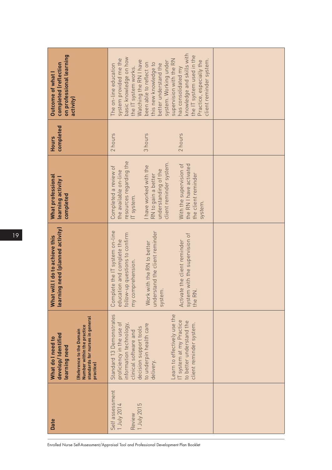| on professional learning<br>completed (reflection<br><b>Outcome of what I</b><br>activity)                                                                         | knowledge and skills with<br>the IT system used in the<br>basic knowledge on how<br>system provided me the<br>supervision with the RN<br>client reminder system.<br>Practice, especially the<br>Watching the RN I have<br>system. Working under<br>this new knowledge to<br>been able to reflect on<br>better understand the<br>The on-line education<br>has consolidated my<br>the IT system works. |  |
|--------------------------------------------------------------------------------------------------------------------------------------------------------------------|------------------------------------------------------------------------------------------------------------------------------------------------------------------------------------------------------------------------------------------------------------------------------------------------------------------------------------------------------------------------------------------------------|--|
| completed<br><b>Hours</b>                                                                                                                                          | 3 hours<br>2 hours<br>2 hours                                                                                                                                                                                                                                                                                                                                                                        |  |
| What professional<br>learning activity I<br>completed                                                                                                              | resources regarding the<br>client reminder system.<br>With the supervision of<br>the RN I have activated<br>I have worked with the<br>Completed a review of<br>understanding of the<br>the available on-line<br>the client reminder<br>RN to gain a better<br>IT system.<br>system.                                                                                                                  |  |
| learning need (planned activity)<br>What will I do to achieve this                                                                                                 | Complete the IT system on-line<br>understand the client reminder<br>follow-up questions to confirm<br>system with the supervision of<br>education and complete the<br>Activate the client reminder<br>Work with the RN to better<br>my comprehension.<br>system.<br>the RN.                                                                                                                          |  |
| standards for nurses in general<br>Number within the practice<br>(Reference to the Domain<br>develop/Identified<br>What do I need to<br>learning need<br>practice) | Learn to effectively use the<br>Standard 13 Demonstrates<br>IT system at my Practice<br>to better understand the<br>proficiency in the use of<br>information technology,<br>client reminder system.<br>to underpin health care<br>decision support tools<br>clinical software and<br>delivery.                                                                                                       |  |
| <b>Date</b>                                                                                                                                                        | Self assessment<br>1 July 2015<br>1 July 2014<br>Review                                                                                                                                                                                                                                                                                                                                              |  |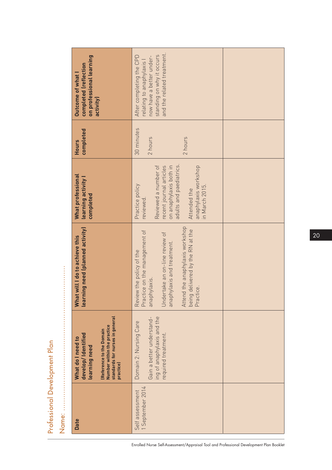|                                                             | on professional learning<br>completed (reflection<br><b>Outcome of what I</b><br>activity)                                                                         | and the related treatment.<br>standing on why it occurs<br>After completing the CPD<br>now have a better under-<br>relating to anaphylaxis I                                                                                  |  |
|-------------------------------------------------------------|--------------------------------------------------------------------------------------------------------------------------------------------------------------------|-------------------------------------------------------------------------------------------------------------------------------------------------------------------------------------------------------------------------------|--|
|                                                             | completed<br><b>Hours</b>                                                                                                                                          | 30 minutes<br>2 hours<br>2 hours                                                                                                                                                                                              |  |
|                                                             | What professional<br>learning activity I<br>completed                                                                                                              | Reviewed a number of<br>adults and paediatrics.<br>on anaphylaxis both in<br>anaphylaxis workshop<br>recent journal articles<br>Practice policy<br>in March 2015.<br>Attended the<br>reviewed.                                |  |
|                                                             | learning need (planned activity)<br>What will I do to achieve this                                                                                                 | Attend the anaphylaxis workshop<br>being delivered by the RN at the<br>Practice on the management of<br>Undertake an on-line review of<br>anaphylaxis and treatment.<br>Review the policy of the<br>anaphylaxis.<br>Practice. |  |
| <br> <br> <br> <br> <br> <br> <br> <br> <br> <br> <br> <br> | standards for nurses in general<br>Number within the practice<br>(Reference to the Domain<br>develop/Identified<br>What do I need to<br>learning need<br>practice) | ing of anaphylaxis and the<br>Gain a better understand-<br>Domain 2: Nursing Care<br>required treatment.                                                                                                                      |  |
|                                                             | <b>Date</b>                                                                                                                                                        | 1 September 2014<br>Self assessment                                                                                                                                                                                           |  |

Professional Development Plan<br>Name: Professional Development Plan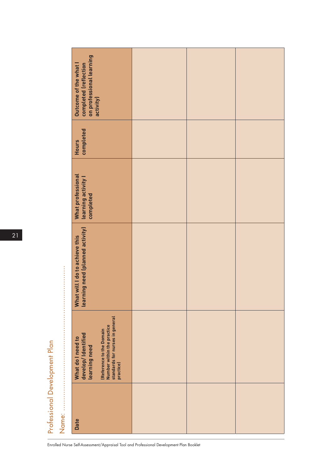| Outcome of the what I                                                                                                                                              |                                                                                                                             |  |
|--------------------------------------------------------------------------------------------------------------------------------------------------------------------|-----------------------------------------------------------------------------------------------------------------------------|--|
| completed<br>Hours                                                                                                                                                 |                                                                                                                             |  |
|                                                                                                                                                                    |                                                                                                                             |  |
| learning need (planned activity)<br>What will I do to achieve this                                                                                                 |                                                                                                                             |  |
| standards for nurses in general<br>Number within the practice<br>(Reference to the Domain<br>develop/Identified<br>What do I need to<br>learning need<br>practice) |                                                                                                                             |  |
| <b>Date</b>                                                                                                                                                        |                                                                                                                             |  |
|                                                                                                                                                                    | completed (reflection<br>  on professional learning<br>  activity)<br>What professional<br>learning activity l<br>completed |  |

21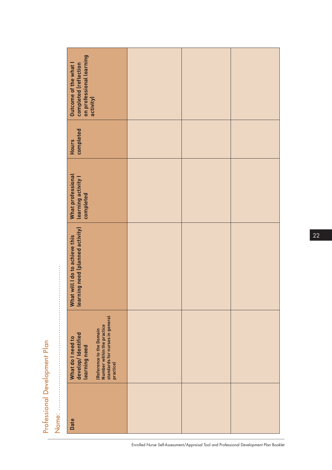| completed (reflection<br>Outcome of the what                                                                                                                       |                                       |  |
|--------------------------------------------------------------------------------------------------------------------------------------------------------------------|---------------------------------------|--|
| completed<br><b>Hours</b>                                                                                                                                          |                                       |  |
| What professional<br>learning activity I<br>completed                                                                                                              |                                       |  |
| learning need (planned activity)<br>What will I do to achieve this                                                                                                 |                                       |  |
| standards for nurses in general<br>Number within the practice<br>(Reference to the Domain<br>develop/Identified<br>What do I need to<br>learning need<br>practice) |                                       |  |
| <b>Date</b>                                                                                                                                                        |                                       |  |
|                                                                                                                                                                    | on professional learning<br>activity) |  |

Professional Development Plan

Professional Development Plan